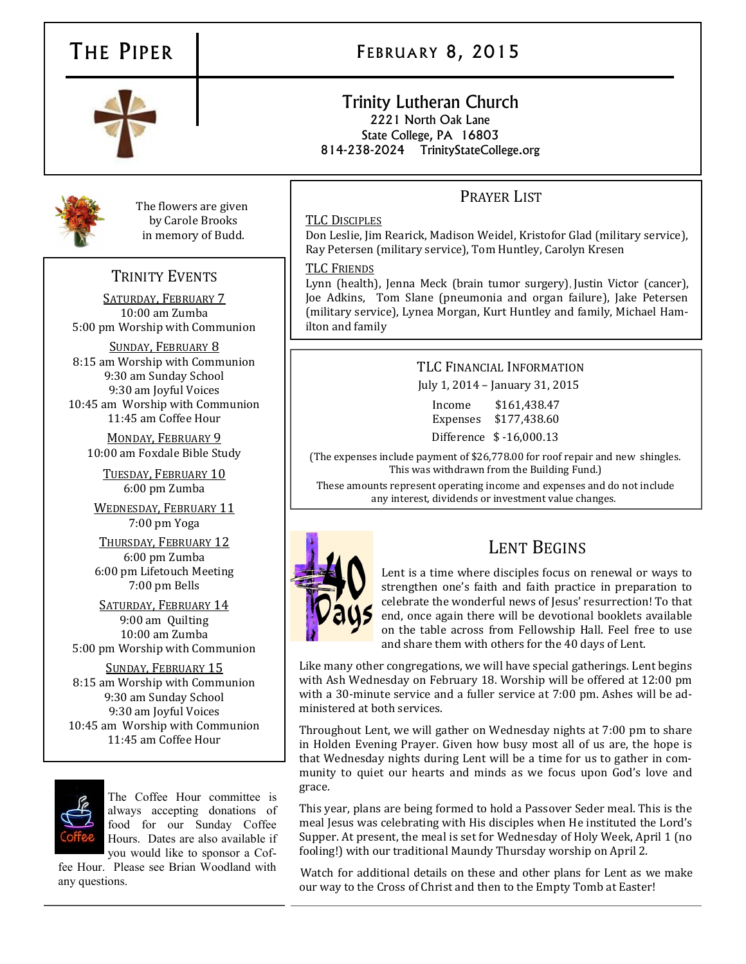# THE PIPER | FEBRUARY 8, 2015

## Trinity Lutheran Church 2221 North Oak Lane State College, PA 16803

814-238-2024 TrinityStateCollege.org

## PRAYER LIST

#### TLC DISCIPLES

Don Leslie, Jim Rearick, Madison Weidel, Kristofor Glad (military service), Ray Petersen (military service), Tom Huntley, Carolyn Kresen

#### TLC FRIENDS

Lynn (health), Jenna Meck (brain tumor surgery), Justin Victor (cancer), Joe Adkins, Tom Slane (pneumonia and organ failure), Jake Petersen (military service), Lynea Morgan, Kurt Huntley and family, Michael Hamilton and family

### TLC FINANCIAL INFORMATION July 1, 2014 – January 31, 2015

Income \$161,438.47 Expenses \$177,438.60 Difference \$ -16,000.13

(The expenses include payment of \$26,778.00 for roof repair and new shingles. This was withdrawn from the Building Fund.)

These amounts represent operating income and expenses and do not include any interest, dividends or investment value changes.



## LENT BEGINS

Lent is a time where disciples focus on renewal or ways to strengthen one's faith and faith practice in preparation to celebrate the wonderful news of Jesus' resurrection! To that end, once again there will be devotional booklets available on the table across from Fellowship Hall. Feel free to use and share them with others for the 40 days of Lent.

Like many other congregations, we will have special gatherings. Lent begins with Ash Wednesday on February 18. Worship will be offered at 12:00 pm with a 30-minute service and a fuller service at 7:00 pm. Ashes will be administered at both services.

Throughout Lent, we will gather on Wednesday nights at 7:00 pm to share in Holden Evening Prayer. Given how busy most all of us are, the hope is that Wednesday nights during Lent will be a time for us to gather in community to quiet our hearts and minds as we focus upon God's love and grace.

This year, plans are being formed to hold a Passover Seder meal. This is the meal Jesus was celebrating with His disciples when He instituted the Lord's Supper. At present, the meal is set for Wednesday of Holy Week, April 1 (no fooling!) with our traditional Maundy Thursday worship on April 2.

Watch for additional details on these and other plans for Lent as we make our way to the Cross of Christ and then to the Empty Tomb at Easter!



The flowers are given by Carole Brooks in memory of Budd.

## TRINITY EVENTS

SATURDAY, FEBRUARY 7 10:00 am Zumba 5:00 pm Worship with Communion

SUNDAY, FEBRUARY 8 8:15 am Worship with Communion 9:30 am Sunday School 9:30 am Joyful Voices 10:45 am Worship with Communion 11:45 am Coffee Hour

MONDAY, FEBRUARY 9 10:00 am Foxdale Bible Study

TUESDAY, FEBRUARY 10 6:00 pm Zumba

WEDNESDAY, FEBRUARY 11 7:00 pm Yoga

THURSDAY, FEBRUARY 12 6:00 pm Zumba 6:00 pm Lifetouch Meeting 7:00 pm Bells

SATURDAY, FEBRUARY 14 9:00 am Quilting 10:00 am Zumba 5:00 pm Worship with Communion

SUNDAY, FEBRUARY 15 8:15 am Worship with Communion 9:30 am Sunday School 9:30 am Joyful Voices 10:45 am Worship with Communion 11:45 am Coffee Hour



The Coffee Hour committee is always accepting donations of food for our Sunday Coffee Hours. Dates are also available if you would like to sponsor a Cof-

fee Hour. Please see Brian Woodland with any questions.